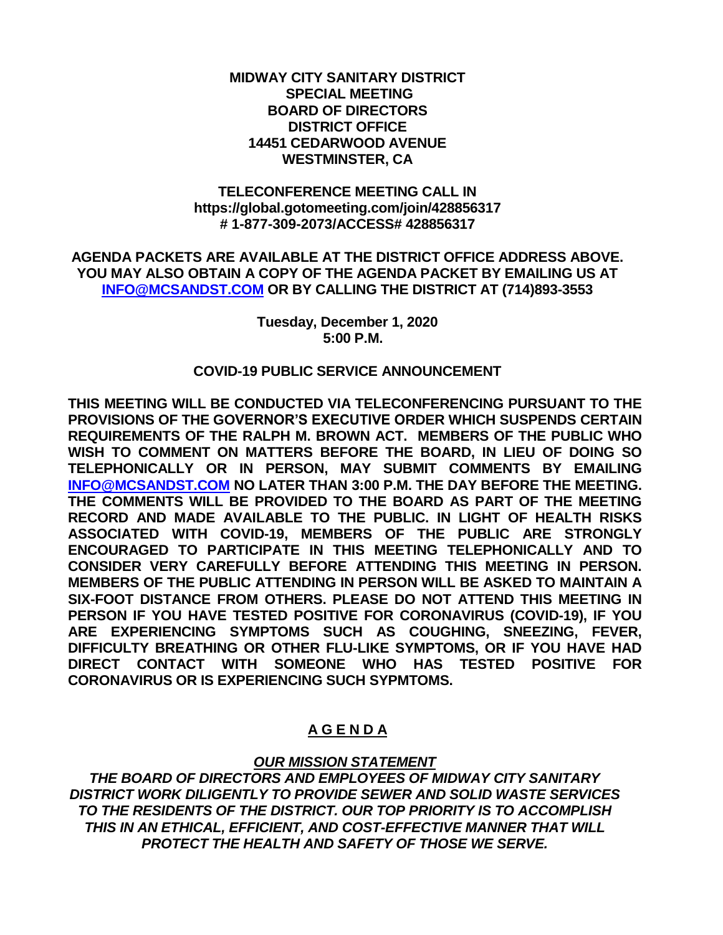#### **MIDWAY CITY SANITARY DISTRICT SPECIAL MEETING BOARD OF DIRECTORS DISTRICT OFFICE 14451 CEDARWOOD AVENUE WESTMINSTER, CA**

#### **TELECONFERENCE MEETING CALL IN https://global.gotomeeting.com/join/428856317 # 1-877-309-2073/ACCESS# 428856317**

#### **AGENDA PACKETS ARE AVAILABLE AT THE DISTRICT OFFICE ADDRESS ABOVE. YOU MAY ALSO OBTAIN A COPY OF THE AGENDA PACKET BY EMAILING US AT [INFO@MCSANDST.COM](mailto:INFO@MCSANDST.COM) OR BY CALLING THE DISTRICT AT (714)893-3553**

#### **Tuesday, December 1, 2020 5:00 P.M.**

### **COVID-19 PUBLIC SERVICE ANNOUNCEMENT**

**THIS MEETING WILL BE CONDUCTED VIA TELECONFERENCING PURSUANT TO THE PROVISIONS OF THE GOVERNOR'S EXECUTIVE ORDER WHICH SUSPENDS CERTAIN REQUIREMENTS OF THE RALPH M. BROWN ACT. MEMBERS OF THE PUBLIC WHO WISH TO COMMENT ON MATTERS BEFORE THE BOARD, IN LIEU OF DOING SO TELEPHONICALLY OR IN PERSON, MAY SUBMIT COMMENTS BY EMAILING [INFO@MCSANDST.COM](mailto:INFO@MCSANDST.COM) NO LATER THAN 3:00 P.M. THE DAY BEFORE THE MEETING. THE COMMENTS WILL BE PROVIDED TO THE BOARD AS PART OF THE MEETING RECORD AND MADE AVAILABLE TO THE PUBLIC. IN LIGHT OF HEALTH RISKS ASSOCIATED WITH COVID-19, MEMBERS OF THE PUBLIC ARE STRONGLY ENCOURAGED TO PARTICIPATE IN THIS MEETING TELEPHONICALLY AND TO CONSIDER VERY CAREFULLY BEFORE ATTENDING THIS MEETING IN PERSON. MEMBERS OF THE PUBLIC ATTENDING IN PERSON WILL BE ASKED TO MAINTAIN A SIX-FOOT DISTANCE FROM OTHERS. PLEASE DO NOT ATTEND THIS MEETING IN PERSON IF YOU HAVE TESTED POSITIVE FOR CORONAVIRUS (COVID-19), IF YOU ARE EXPERIENCING SYMPTOMS SUCH AS COUGHING, SNEEZING, FEVER, DIFFICULTY BREATHING OR OTHER FLU-LIKE SYMPTOMS, OR IF YOU HAVE HAD DIRECT CONTACT WITH SOMEONE WHO HAS TESTED POSITIVE FOR CORONAVIRUS OR IS EXPERIENCING SUCH SYPMTOMS.** 

# **A G E N D A**

# *OUR MISSION STATEMENT*

*THE BOARD OF DIRECTORS AND EMPLOYEES OF MIDWAY CITY SANITARY DISTRICT WORK DILIGENTLY TO PROVIDE SEWER AND SOLID WASTE SERVICES TO THE RESIDENTS OF THE DISTRICT. OUR TOP PRIORITY IS TO ACCOMPLISH THIS IN AN ETHICAL, EFFICIENT, AND COST-EFFECTIVE MANNER THAT WILL PROTECT THE HEALTH AND SAFETY OF THOSE WE SERVE.*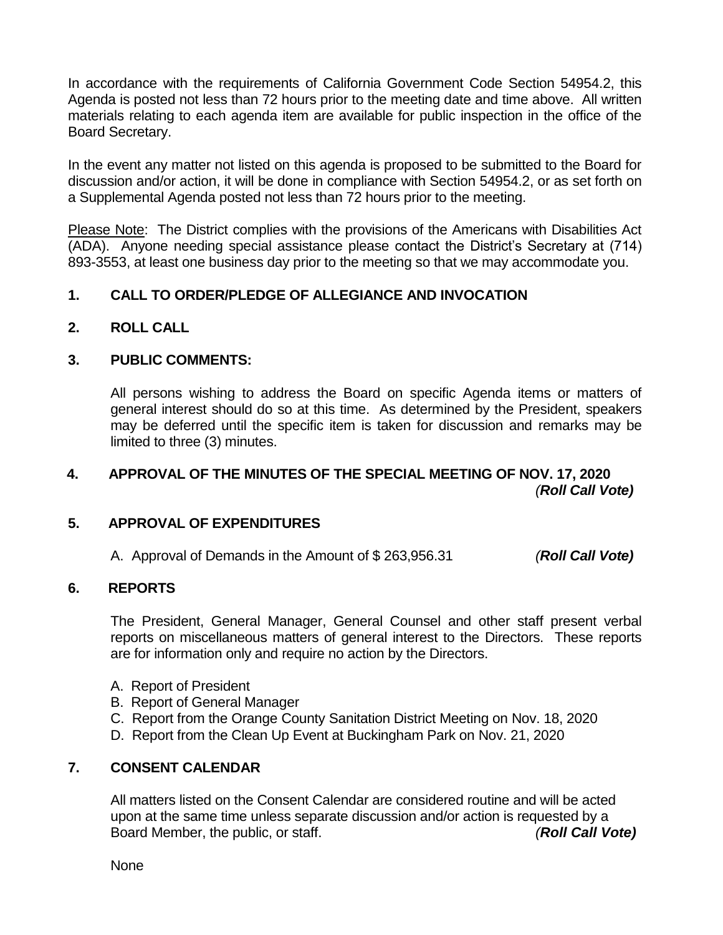In accordance with the requirements of California Government Code Section 54954.2, this Agenda is posted not less than 72 hours prior to the meeting date and time above. All written materials relating to each agenda item are available for public inspection in the office of the Board Secretary.

In the event any matter not listed on this agenda is proposed to be submitted to the Board for discussion and/or action, it will be done in compliance with Section 54954.2, or as set forth on a Supplemental Agenda posted not less than 72 hours prior to the meeting.

Please Note: The District complies with the provisions of the Americans with Disabilities Act (ADA). Anyone needing special assistance please contact the District's Secretary at (714) 893-3553, at least one business day prior to the meeting so that we may accommodate you.

# **1. CALL TO ORDER/PLEDGE OF ALLEGIANCE AND INVOCATION**

**2. ROLL CALL**

### **3. PUBLIC COMMENTS:**

All persons wishing to address the Board on specific Agenda items or matters of general interest should do so at this time. As determined by the President, speakers may be deferred until the specific item is taken for discussion and remarks may be limited to three (3) minutes.

# **4. APPROVAL OF THE MINUTES OF THE SPECIAL MEETING OF NOV. 17, 2020** *(Roll Call Vote)*

### **5. APPROVAL OF EXPENDITURES**

A. Approval of Demands in the Amount of \$ 263,956.31 *(Roll Call Vote)*

#### **6. REPORTS**

The President, General Manager, General Counsel and other staff present verbal reports on miscellaneous matters of general interest to the Directors. These reports are for information only and require no action by the Directors.

- A. Report of President
- B. Report of General Manager
- C. Report from the Orange County Sanitation District Meeting on Nov. 18, 2020
- D. Report from the Clean Up Event at Buckingham Park on Nov. 21, 2020

# **7. CONSENT CALENDAR**

All matters listed on the Consent Calendar are considered routine and will be acted upon at the same time unless separate discussion and/or action is requested by a Board Member, the public, or staff. *(Roll Call Vote)*

None